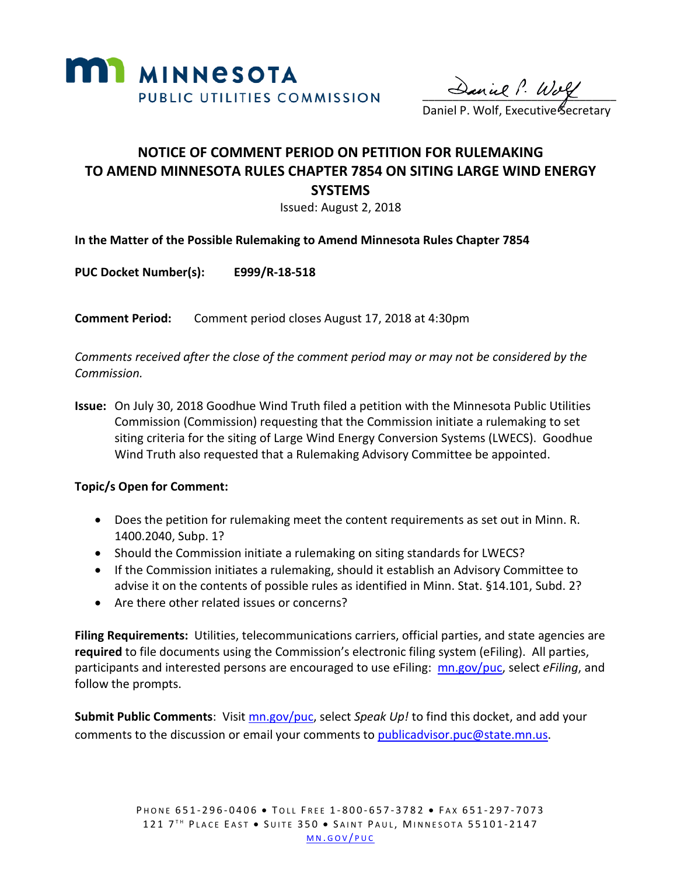

 $\sim$  anux  $\cdot \cdot \omega_{\alpha}$ 

Daniel P. Wolf, Executive Secretary

## **NOTICE OF COMMENT PERIOD ON PETITION FOR RULEMAKING TO AMEND MINNESOTA RULES CHAPTER 7854 ON SITING LARGE WIND ENERGY SYSTEMS**

Issued: August 2, 2018

**In the Matter of the Possible Rulemaking to Amend Minnesota Rules Chapter 7854** 

**PUC Docket Number(s): E999/R-18-518**

**Comment Period:** Comment period closes August 17, 2018 at 4:30pm

*Comments received after the close of the comment period may or may not be considered by the Commission.*

**Issue:** On July 30, 2018 Goodhue Wind Truth filed a petition with the Minnesota Public Utilities Commission (Commission) requesting that the Commission initiate a rulemaking to set siting criteria for the siting of Large Wind Energy Conversion Systems (LWECS). Goodhue Wind Truth also requested that a Rulemaking Advisory Committee be appointed.

## **Topic/s Open for Comment:**

- Does the petition for rulemaking meet the content requirements as set out in Minn. R. 1400.2040, Subp. 1?
- Should the Commission initiate a rulemaking on siting standards for LWECS?
- If the Commission initiates a rulemaking, should it establish an Advisory Committee to advise it on the contents of possible rules as identified in Minn. Stat. §14.101, Subd. 2?
- Are there other related issues or concerns?

**Filing Requirements:** Utilities, telecommunications carriers, official parties, and state agencies are **required** to file documents using the Commission's electronic filing system (eFiling). All parties, participants and interested persons are encouraged to use eFiling: [mn.gov/puc,](http://mn.gov/puc/) select *eFiling*, and follow the prompts.

**Submit Public Comments**: Visit [mn.gov/puc,](http://mn.gov/puc/) select *Speak Up!* to find this docket, and add your comments to the discussion or email your comments to [publicadvisor.puc@state.mn.us.](mailto:publicadvisor.puc@state.mn.us)